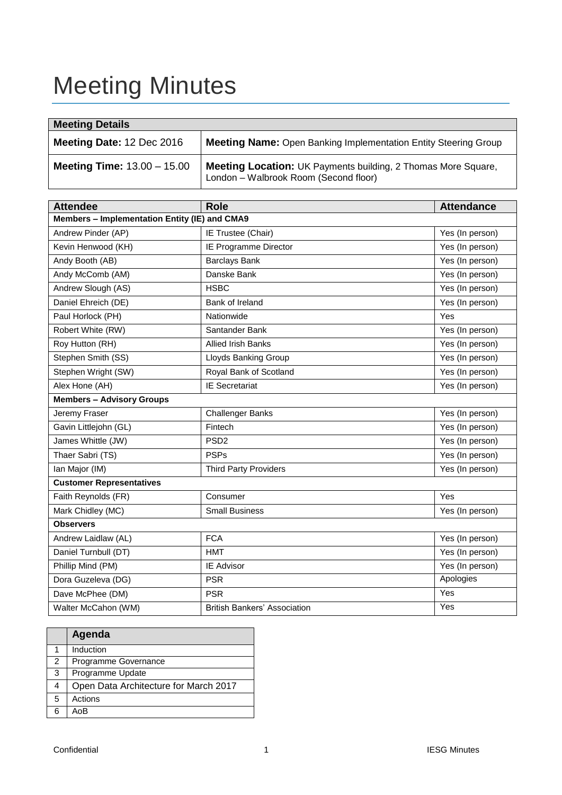# Meeting Minutes

| <b>Meeting Details</b>               |                                                                                                               |  |  |  |  |
|--------------------------------------|---------------------------------------------------------------------------------------------------------------|--|--|--|--|
| Meeting Date: 12 Dec 2016            | <b>Meeting Name:</b> Open Banking Implementation Entity Steering Group                                        |  |  |  |  |
| <b>Meeting Time:</b> $13.00 - 15.00$ | <b>Meeting Location:</b> UK Payments building, 2 Thomas More Square,<br>London - Walbrook Room (Second floor) |  |  |  |  |

| <b>Attendee</b>                               | <b>Role</b>                         | <b>Attendance</b> |  |  |  |  |  |
|-----------------------------------------------|-------------------------------------|-------------------|--|--|--|--|--|
| Members - Implementation Entity (IE) and CMA9 |                                     |                   |  |  |  |  |  |
| Andrew Pinder (AP)                            | IE Trustee (Chair)                  | Yes (In person)   |  |  |  |  |  |
| Kevin Henwood (KH)                            | IE Programme Director               | Yes (In person)   |  |  |  |  |  |
| Andy Booth (AB)                               | <b>Barclays Bank</b>                | Yes (In person)   |  |  |  |  |  |
| Andy McComb (AM)                              | Danske Bank                         | Yes (In person)   |  |  |  |  |  |
| Andrew Slough (AS)                            | <b>HSBC</b>                         | Yes (In person)   |  |  |  |  |  |
| Daniel Ehreich (DE)                           | Bank of Ireland                     | Yes (In person)   |  |  |  |  |  |
| Paul Horlock (PH)                             | Nationwide                          | Yes               |  |  |  |  |  |
| Robert White (RW)                             | Santander Bank                      | Yes (In person)   |  |  |  |  |  |
| Roy Hutton (RH)                               | <b>Allied Irish Banks</b>           | Yes (In person)   |  |  |  |  |  |
| Stephen Smith (SS)                            | Lloyds Banking Group                | Yes (In person)   |  |  |  |  |  |
| Stephen Wright (SW)                           | Royal Bank of Scotland              | Yes (In person)   |  |  |  |  |  |
| Alex Hone (AH)                                | <b>IE Secretariat</b>               | Yes (In person)   |  |  |  |  |  |
| <b>Members - Advisory Groups</b>              |                                     |                   |  |  |  |  |  |
| Jeremy Fraser                                 | <b>Challenger Banks</b>             | Yes (In person)   |  |  |  |  |  |
| Gavin Littlejohn (GL)                         | Fintech                             | Yes (In person)   |  |  |  |  |  |
| James Whittle (JW)                            | PSD <sub>2</sub>                    | Yes (In person)   |  |  |  |  |  |
| Thaer Sabri (TS)                              | <b>PSPs</b>                         | Yes (In person)   |  |  |  |  |  |
| Ian Major (IM)                                | <b>Third Party Providers</b>        | Yes (In person)   |  |  |  |  |  |
| <b>Customer Representatives</b>               |                                     |                   |  |  |  |  |  |
| Faith Reynolds (FR)                           | Consumer                            | Yes               |  |  |  |  |  |
| Mark Chidley (MC)                             | <b>Small Business</b>               | Yes (In person)   |  |  |  |  |  |
| <b>Observers</b>                              |                                     |                   |  |  |  |  |  |
| Andrew Laidlaw (AL)                           | <b>FCA</b>                          | Yes (In person)   |  |  |  |  |  |
| Daniel Turnbull (DT)                          | <b>HMT</b>                          | Yes (In person)   |  |  |  |  |  |
| Phillip Mind (PM)                             | <b>IE Advisor</b>                   | Yes (In person)   |  |  |  |  |  |
| Dora Guzeleva (DG)                            | <b>PSR</b>                          | Apologies         |  |  |  |  |  |
| Dave McPhee (DM)                              | <b>PSR</b>                          | Yes               |  |  |  |  |  |
| Walter McCahon (WM)                           | <b>British Bankers' Association</b> | Yes               |  |  |  |  |  |

|     | Agenda                                |
|-----|---------------------------------------|
|     | Induction                             |
| 2   | Programme Governance                  |
| 3   | Programme Update                      |
| 4   | Open Data Architecture for March 2017 |
| 5   | Actions                               |
| ี่ค |                                       |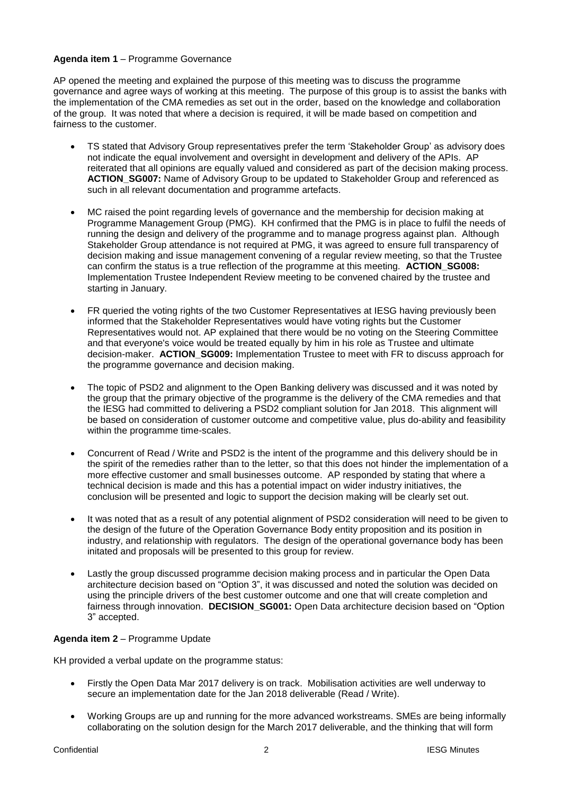#### **Agenda item 1** – Programme Governance

AP opened the meeting and explained the purpose of this meeting was to discuss the programme governance and agree ways of working at this meeting. The purpose of this group is to assist the banks with the implementation of the CMA remedies as set out in the order, based on the knowledge and collaboration of the group. It was noted that where a decision is required, it will be made based on competition and fairness to the customer.

- TS stated that Advisory Group representatives prefer the term 'Stakeholder Group' as advisory does not indicate the equal involvement and oversight in development and delivery of the APIs. AP reiterated that all opinions are equally valued and considered as part of the decision making process. **ACTION\_SG007:** Name of Advisory Group to be updated to Stakeholder Group and referenced as such in all relevant documentation and programme artefacts.
- MC raised the point regarding levels of governance and the membership for decision making at Programme Management Group (PMG). KH confirmed that the PMG is in place to fulfil the needs of running the design and delivery of the programme and to manage progress against plan. Although Stakeholder Group attendance is not required at PMG, it was agreed to ensure full transparency of decision making and issue management convening of a regular review meeting, so that the Trustee can confirm the status is a true reflection of the programme at this meeting. **ACTION\_SG008:**  Implementation Trustee Independent Review meeting to be convened chaired by the trustee and starting in January.
- FR queried the voting rights of the two Customer Representatives at IESG having previously been informed that the Stakeholder Representatives would have voting rights but the Customer Representatives would not. AP explained that there would be no voting on the Steering Committee and that everyone's voice would be treated equally by him in his role as Trustee and ultimate decision-maker. **ACTION\_SG009:** Implementation Trustee to meet with FR to discuss approach for the programme governance and decision making.
- The topic of PSD2 and alignment to the Open Banking delivery was discussed and it was noted by the group that the primary objective of the programme is the delivery of the CMA remedies and that the IESG had committed to delivering a PSD2 compliant solution for Jan 2018. This alignment will be based on consideration of customer outcome and competitive value, plus do-ability and feasibility within the programme time-scales.
- Concurrent of Read / Write and PSD2 is the intent of the programme and this delivery should be in the spirit of the remedies rather than to the letter, so that this does not hinder the implementation of a more effective customer and small businesses outcome. AP responded by stating that where a technical decision is made and this has a potential impact on wider industry initiatives, the conclusion will be presented and logic to support the decision making will be clearly set out.
- It was noted that as a result of any potential alignment of PSD2 consideration will need to be given to the design of the future of the Operation Governance Body entity proposition and its position in industry, and relationship with regulators. The design of the operational governance body has been initated and proposals will be presented to this group for review.
- Lastly the group discussed programme decision making process and in particular the Open Data architecture decision based on "Option 3", it was discussed and noted the solution was decided on using the principle drivers of the best customer outcome and one that will create completion and fairness through innovation. **DECISION\_SG001:** Open Data architecture decision based on "Option 3" accepted.

### **Agenda item 2** – Programme Update

KH provided a verbal update on the programme status:

- Firstly the Open Data Mar 2017 delivery is on track. Mobilisation activities are well underway to secure an implementation date for the Jan 2018 deliverable (Read / Write).
- Working Groups are up and running for the more advanced workstreams. SMEs are being informally collaborating on the solution design for the March 2017 deliverable, and the thinking that will form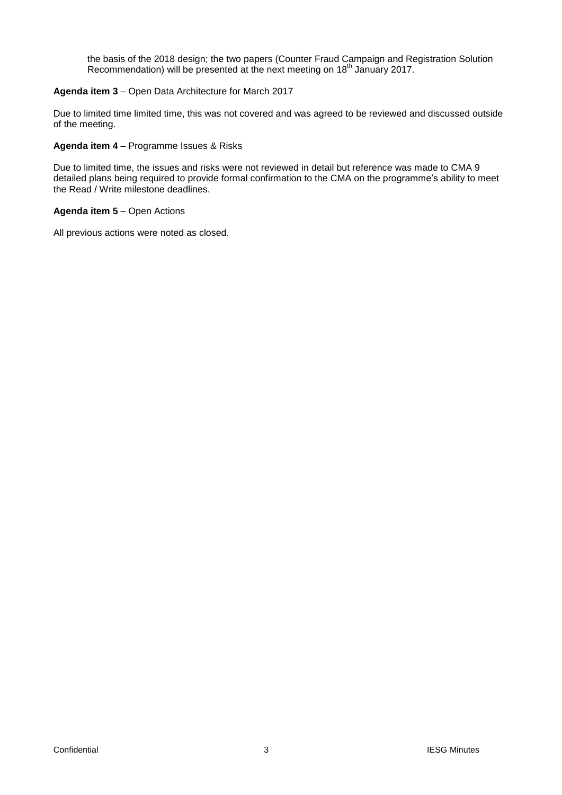the basis of the 2018 design; the two papers (Counter Fraud Campaign and Registration Solution Recommendation) will be presented at the next meeting on 18<sup>th</sup> January 2017.

#### **Agenda item 3** – Open Data Architecture for March 2017

Due to limited time limited time, this was not covered and was agreed to be reviewed and discussed outside of the meeting.

#### **Agenda item 4** – Programme Issues & Risks

Due to limited time, the issues and risks were not reviewed in detail but reference was made to CMA 9 detailed plans being required to provide formal confirmation to the CMA on the programme's ability to meet the Read / Write milestone deadlines.

#### **Agenda item 5** – Open Actions

All previous actions were noted as closed.